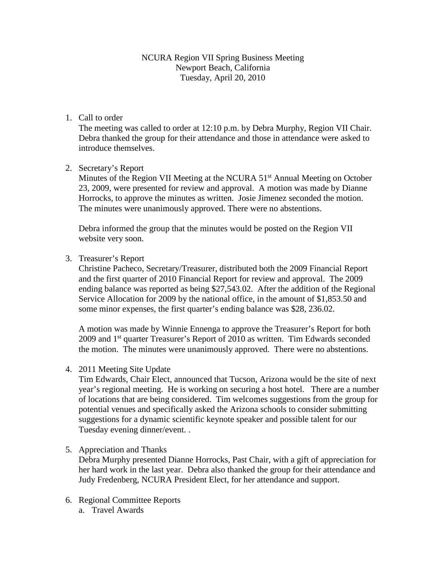NCURA Region VII Spring Business Meeting Newport Beach, California Tuesday, April 20, 2010

# 1. Call to order

The meeting was called to order at 12:10 p.m. by Debra Murphy, Region VII Chair. Debra thanked the group for their attendance and those in attendance were asked to introduce themselves.

## 2. Secretary's Report

Minutes of the Region VII Meeting at the NCURA 51<sup>st</sup> Annual Meeting on October 23, 2009, were presented for review and approval. A motion was made by Dianne Horrocks, to approve the minutes as written. Josie Jimenez seconded the motion. The minutes were unanimously approved. There were no abstentions.

Debra informed the group that the minutes would be posted on the Region VII website very soon.

3. Treasurer's Report

Christine Pacheco, Secretary/Treasurer, distributed both the 2009 Financial Report and the first quarter of 2010 Financial Report for review and approval. The 2009 ending balance was reported as being \$27,543.02. After the addition of the Regional Service Allocation for 2009 by the national office, in the amount of \$1,853.50 and some minor expenses, the first quarter's ending balance was \$28, 236.02.

A motion was made by Winnie Ennenga to approve the Treasurer's Report for both  $2009$  and  $1<sup>st</sup>$  quarter Treasurer's Report of 2010 as written. Tim Edwards seconded the motion. The minutes were unanimously approved. There were no abstentions.

4. 2011 Meeting Site Update

Tim Edwards, Chair Elect, announced that Tucson, Arizona would be the site of next year's regional meeting. He is working on securing a host hotel. There are a number of locations that are being considered. Tim welcomes suggestions from the group for potential venues and specifically asked the Arizona schools to consider submitting suggestions for a dynamic scientific keynote speaker and possible talent for our Tuesday evening dinner/event. .

## 5. Appreciation and Thanks

Debra Murphy presented Dianne Horrocks, Past Chair, with a gift of appreciation for her hard work in the last year. Debra also thanked the group for their attendance and Judy Fredenberg, NCURA President Elect, for her attendance and support.

- 6. Regional Committee Reports
	- a. Travel Awards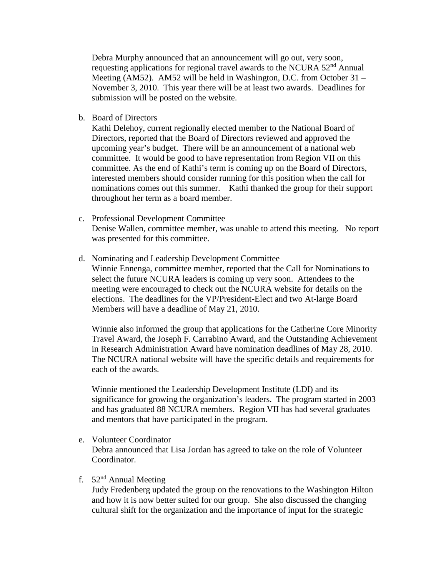Debra Murphy announced that an announcement will go out, very soon, requesting applications for regional travel awards to the NCURA 52<sup>nd</sup> Annual Meeting (AM52). AM52 will be held in Washington, D.C. from October 31 – November 3, 2010. This year there will be at least two awards. Deadlines for submission will be posted on the website.

b. Board of Directors

Kathi Delehoy, current regionally elected member to the National Board of Directors, reported that the Board of Directors reviewed and approved the upcoming year's budget. There will be an announcement of a national web committee. It would be good to have representation from Region VII on this committee. As the end of Kathi's term is coming up on the Board of Directors, interested members should consider running for this position when the call for nominations comes out this summer. Kathi thanked the group for their support throughout her term as a board member.

- c. Professional Development Committee Denise Wallen, committee member, was unable to attend this meeting. No report was presented for this committee.
- d. Nominating and Leadership Development Committee Winnie Ennenga, committee member, reported that the Call for Nominations to select the future NCURA leaders is coming up very soon. Attendees to the meeting were encouraged to check out the NCURA website for details on the elections. The deadlines for the VP/President-Elect and two At-large Board Members will have a deadline of May 21, 2010.

Winnie also informed the group that applications for the Catherine Core Minority Travel Award, the Joseph F. Carrabino Award, and the Outstanding Achievement in Research Administration Award have nomination deadlines of May 28, 2010. The NCURA national website will have the specific details and requirements for each of the awards.

Winnie mentioned the Leadership Development Institute (LDI) and its significance for growing the organization's leaders. The program started in 2003 and has graduated 88 NCURA members. Region VII has had several graduates and mentors that have participated in the program.

e. Volunteer Coordinator

Debra announced that Lisa Jordan has agreed to take on the role of Volunteer Coordinator.

## f.  $52<sup>nd</sup>$  Annual Meeting

Judy Fredenberg updated the group on the renovations to the Washington Hilton and how it is now better suited for our group. She also discussed the changing cultural shift for the organization and the importance of input for the strategic